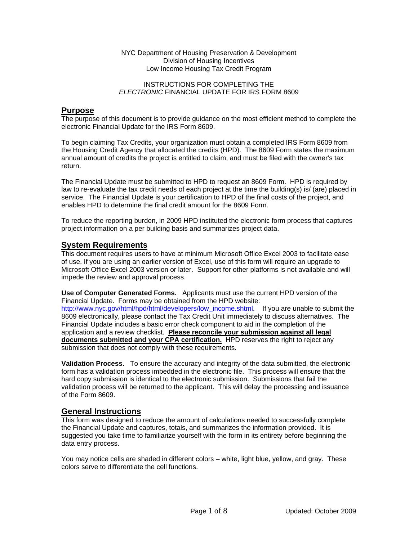#### NYC Department of Housing Preservation & Development Division of Housing Incentives Low Income Housing Tax Credit Program

#### INSTRUCTIONS FOR COMPLETING THE *ELECTRONIC* FINANCIAL UPDATE FOR IRS FORM 8609

# **Purpose**

The purpose of this document is to provide guidance on the most efficient method to complete the electronic Financial Update for the IRS Form 8609.

To begin claiming Tax Credits, your organization must obtain a completed IRS Form 8609 from the Housing Credit Agency that allocated the credits (HPD). The 8609 Form states the maximum annual amount of credits the project is entitled to claim, and must be filed with the owner's tax return.

The Financial Update must be submitted to HPD to request an 8609 Form. HPD is required by law to re-evaluate the tax credit needs of each project at the time the building(s) is/ (are) placed in service. The Financial Update is your certification to HPD of the final costs of the project, and enables HPD to determine the final credit amount for the 8609 Form.

To reduce the reporting burden, in 2009 HPD instituted the electronic form process that captures project information on a per building basis and summarizes project data.

# **System Requirements**

This document requires users to have at minimum Microsoft Office Excel 2003 to facilitate ease of use. If you are using an earlier version of Excel, use of this form will require an upgrade to Microsoft Office Excel 2003 version or later. Support for other platforms is not available and will impede the review and approval process.

**Use of Computer Generated Forms.** Applicants must use the current HPD version of the Financial Update. Forms may be obtained from the HPD website: [http://www.nyc.gov/html/hpd/html/developers/low\\_income.shtml.](http://www.nyc.gov/html/hpd/html/developers/low_income.shtml) If you are unable to submit the 8609 electronically, please contact the Tax Credit Unit immediately to discuss alternatives. The Financial Update includes a basic error check component to aid in the completion of the application and a review checklist. **Please reconcile your submission against all legal documents submitted and your CPA certification.** HPD reserves the right to reject any submission that does not comply with these requirements.

**Validation Process.** To ensure the accuracy and integrity of the data submitted, the electronic form has a validation process imbedded in the electronic file. This process will ensure that the hard copy submission is identical to the electronic submission. Submissions that fail the validation process will be returned to the applicant. This will delay the processing and issuance of the Form 8609.

# **General Instructions**

This form was designed to reduce the amount of calculations needed to successfully complete the Financial Update and captures, totals, and summarizes the information provided. It is suggested you take time to familiarize yourself with the form in its entirety before beginning the data entry process.

You may notice cells are shaded in different colors – white, light blue, yellow, and gray. These colors serve to differentiate the cell functions.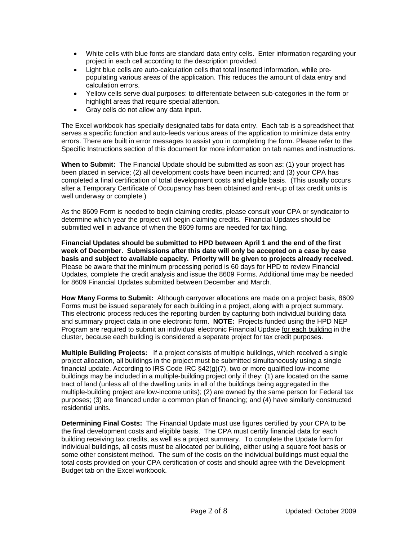- White cells with blue fonts are standard data entry cells. Enter information regarding your project in each cell according to the description provided.
- Light blue cells are auto-calculation cells that total inserted information, while prepopulating various areas of the application. This reduces the amount of data entry and calculation errors.
- Yellow cells serve dual purposes: to differentiate between sub-categories in the form or highlight areas that require special attention.
- Gray cells do not allow any data input.

The Excel workbook has specially designated tabs for data entry. Each tab is a spreadsheet that serves a specific function and auto-feeds various areas of the application to minimize data entry errors. There are built in error messages to assist you in completing the form. Please refer to the Specific Instructions section of this document for more information on tab names and instructions.

**When to Submit:** The Financial Update should be submitted as soon as: (1) your project has been placed in service; (2) all development costs have been incurred; and (3) your CPA has completed a final certification of total development costs and eligible basis. (This usually occurs after a Temporary Certificate of Occupancy has been obtained and rent-up of tax credit units is well underway or complete.)

As the 8609 Form is needed to begin claiming credits, please consult your CPA or syndicator to determine which year the project will begin claiming credits. Financial Updates should be submitted well in advance of when the 8609 forms are needed for tax filing.

**Financial Updates should be submitted to HPD between April 1 and the end of the first week of December. Submissions after this date will only be accepted on a case by case basis and subject to available capacity. Priority will be given to projects already received.**  Please be aware that the minimum processing period is 60 days for HPD to review Financial Updates, complete the credit analysis and issue the 8609 Forms. Additional time may be needed for 8609 Financial Updates submitted between December and March.

**How Many Forms to Submit:** Although carryover allocations are made on a project basis, 8609 Forms must be issued separately for each building in a project, along with a project summary. This electronic process reduces the reporting burden by capturing both individual building data and summary project data in one electronic form. **NOTE:** Projects funded using the HPD NEP Program are required to submit an individual electronic Financial Update for each building in the cluster, because each building is considered a separate project for tax credit purposes.

**Multiple Building Projects:** If a project consists of multiple buildings, which received a single project allocation, all buildings in the project must be submitted simultaneously using a single financial update. According to IRS Code IRC §42(g)(7), two or more qualified low-income buildings may be included in a multiple-building project only if they: (1) are located on the same tract of land (unless all of the dwelling units in all of the buildings being aggregated in the multiple-building project are low-income units); (2) are owned by the same person for Federal tax purposes; (3) are financed under a common plan of financing; and (4) have similarly constructed residential units.

**Determining Final Costs:** The Financial Update must use figures certified by your CPA to be the final development costs and eligible basis. The CPA must certify financial data for each building receiving tax credits, as well as a project summary. To complete the Update form for individual buildings, all costs must be allocated per building, either using a square foot basis or some other consistent method. The sum of the costs on the individual buildings must equal the total costs provided on your CPA certification of costs and should agree with the Development Budget tab on the Excel workbook.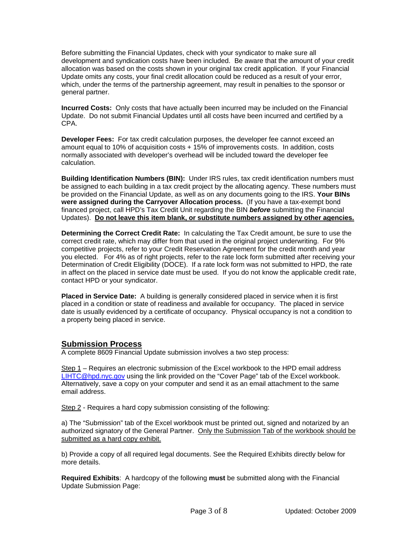Before submitting the Financial Updates, check with your syndicator to make sure all development and syndication costs have been included. Be aware that the amount of your credit allocation was based on the costs shown in your original tax credit application. If your Financial Update omits any costs, your final credit allocation could be reduced as a result of your error, which, under the terms of the partnership agreement, may result in penalties to the sponsor or general partner.

**Incurred Costs:** Only costs that have actually been incurred may be included on the Financial Update. Do not submit Financial Updates until all costs have been incurred and certified by a CPA.

**Developer Fees:** For tax credit calculation purposes, the developer fee cannot exceed an amount equal to 10% of acquisition costs + 15% of improvements costs. In addition, costs normally associated with developer's overhead will be included toward the developer fee calculation.

**Building Identification Numbers (BIN):** Under IRS rules, tax credit identification numbers must be assigned to each building in a tax credit project by the allocating agency. These numbers must be provided on the Financial Update, as well as on any documents going to the IRS. **Your BINs were assigned during the Carryover Allocation process.** (If you have a tax-exempt bond financed project, call HPD's Tax Credit Unit regarding the BIN *before* submitting the Financial Updates). **Do not leave this item blank, or substitute numbers assigned by other agencies.** 

**Determining the Correct Credit Rate:** In calculating the Tax Credit amount, be sure to use the correct credit rate, which may differ from that used in the original project underwriting. For 9% competitive projects, refer to your Credit Reservation Agreement for the credit month and year you elected. For 4% as of right projects, refer to the rate lock form submitted after receiving your Determination of Credit Eligibility (DOCE). If a rate lock form was not submitted to HPD, the rate in affect on the placed in service date must be used. If you do not know the applicable credit rate, contact HPD or your syndicator.

**Placed in Service Date:** A building is generally considered placed in service when it is first placed in a condition or state of readiness and available for occupancy. The placed in service date is usually evidenced by a certificate of occupancy. Physical occupancy is not a condition to a property being placed in service.

# **Submission Process**

A complete 8609 Financial Update submission involves a two step process:

Step 1 – Requires an electronic submission of the Excel workbook to the HPD email address [LIHTC@hpd.nyc.gov](mailto:LIHTC@hpd.nyc.gov) using the link provided on the "Cover Page" tab of the Excel workbook. Alternatively, save a copy on your computer and send it as an email attachment to the same email address.

Step 2 - Requires a hard copy submission consisting of the following:

a) The "Submission" tab of the Excel workbook must be printed out, signed and notarized by an authorized signatory of the General Partner. Only the Submission Tab of the workbook should be submitted as a hard copy exhibit.

b) Provide a copy of all required legal documents. See the Required Exhibits directly below for more details.

**Required Exhibits**: A hardcopy of the following **must** be submitted along with the Financial Update Submission Page: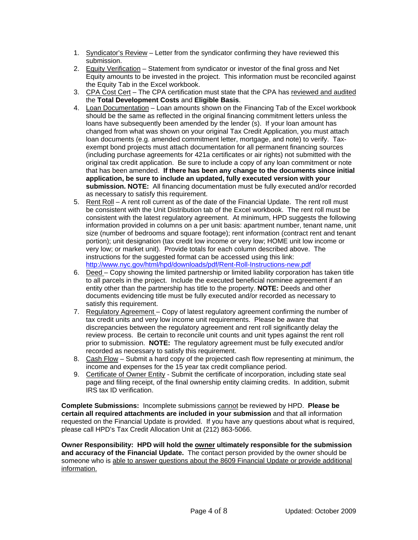- 1. Syndicator's Review Letter from the syndicator confirming they have reviewed this submission.
- 2. Equity Verification Statement from syndicator or investor of the final gross and Net Equity amounts to be invested in the project. This information must be reconciled against the Equity Tab in the Excel workbook.
- 3. CPA Cost Cert The CPA certification must state that the CPA has reviewed and audited the **Total Development Costs** and **Eligible Basis**.
- 4. Loan Documentation Loan amounts shown on the Financing Tab of the Excel workbook should be the same as reflected in the original financing commitment letters unless the loans have subsequently been amended by the lender (s). If your loan amount has changed from what was shown on your original Tax Credit Application, you must attach loan documents (e.g. amended commitment letter, mortgage, and note) to verify. Taxexempt bond projects must attach documentation for all permanent financing sources (including purchase agreements for 421a certificates or air rights) not submitted with the original tax credit application. Be sure to include a copy of any loan commitment or note that has been amended. **If there has been any change to the documents since initial application, be sure to include an updated, fully executed version with your submission. NOTE:** All financing documentation must be fully executed and/or recorded as necessary to satisfy this requirement.
- 5. Rent Roll A rent roll current as of the date of the Financial Update. The rent roll must be consistent with the Unit Distribution tab of the Excel workbook. The rent roll must be consistent with the latest regulatory agreement. At minimum, HPD suggests the following information provided in columns on a per unit basis: apartment number, tenant name, unit size (number of bedrooms and square footage); rent information (contract rent and tenant portion); unit designation (tax credit low income or very low; HOME unit low income or very low; or market unit). Provide totals for each column described above. The instructions for the suggested format can be accessed using this link: <http://www.nyc.gov/html/hpd/downloads/pdf/Rent-Roll-Instructions-new.pdf>
- 6. Deed Copy showing the limited partnership or limited liability corporation has taken title to all parcels in the project. Include the executed beneficial nominee agreement if an entity other than the partnership has title to the property. **NOTE:** Deeds and other documents evidencing title must be fully executed and/or recorded as necessary to satisfy this requirement.
- 7. Regulatory Agreement Copy of latest regulatory agreement confirming the number of tax credit units and very low income unit requirements. Please be aware that discrepancies between the regulatory agreement and rent roll significantly delay the review process. Be certain to reconcile unit counts and unit types against the rent roll prior to submission. **NOTE:** The regulatory agreement must be fully executed and/or recorded as necessary to satisfy this requirement.
- 8. Cash Flow Submit a hard copy of the projected cash flow representing at minimum, the income and expenses for the 15 year tax credit compliance period.
- 9. Certificate of Owner Entity Submit the certificate of incorporation, including state seal page and filing receipt, of the final ownership entity claiming credits. In addition, submit IRS tax ID verification.

**Complete Submissions:** Incomplete submissions cannot be reviewed by HPD. **Please be certain all required attachments are included in your submission** and that all information requested on the Financial Update is provided. If you have any questions about what is required, please call HPD's Tax Credit Allocation Unit at (212) 863-5066.

**Owner Responsibility: HPD will hold the owner ultimately responsible for the submission and accuracy of the Financial Update.** The contact person provided by the owner should be someone who is able to answer questions about the 8609 Financial Update or provide additional information.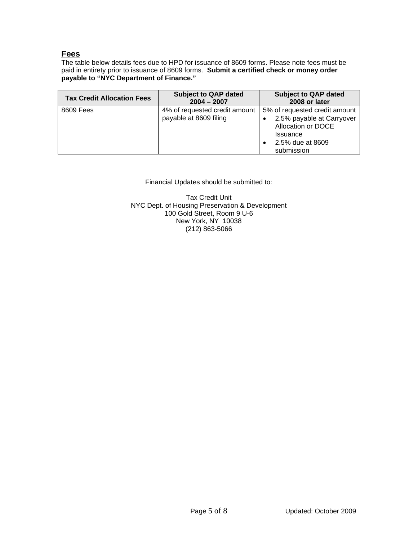# **Fees**

The table below details fees due to HPD for issuance of 8609 forms. Please note fees must be paid in entirety prior to issuance of 8609 forms. **Submit a certified check or money order payable to "NYC Department of Finance."** 

| <b>Tax Credit Allocation Fees</b> | <b>Subject to QAP dated</b><br>$2004 - 2007$            | <b>Subject to QAP dated</b><br>2008 or later                                                                                                            |
|-----------------------------------|---------------------------------------------------------|---------------------------------------------------------------------------------------------------------------------------------------------------------|
| 8609 Fees                         | 4% of requested credit amount<br>payable at 8609 filing | 5% of requested credit amount<br>2.5% payable at Carryover<br>٠<br>Allocation or DOCE<br><b>Issuance</b><br>2.5% due at 8609<br>$\bullet$<br>submission |

### Financial Updates should be submitted to:

Tax Credit Unit NYC Dept. of Housing Preservation & Development 100 Gold Street, Room 9 U-6 New York, NY 10038 (212) 863-5066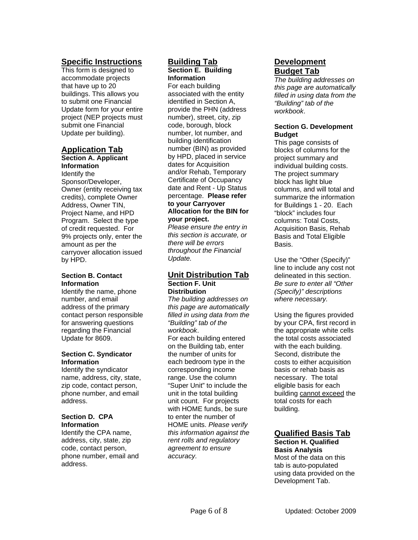# **Specific Instructions**

This form is designed to accommodate projects that have up to 20 buildings. This allows you to submit one Financial Update form for your entire project (NEP projects must submit one Financial Update per building).

# **Application Tab**

**Section A. Applicant Information** Identify the Sponsor/Developer, Owner (entity receiving tax credits), complete Owner Address, Owner TIN, Project Name, and HPD Program. Select the type

of credit requested. For 9% projects only, enter the amount as per the carryover allocation issued by HPD.

### **Section B. Contact Information**

Identify the name, phone number, and email address of the primary contact person responsible for answering questions regarding the Financial Update for 8609.

#### **Section C. Syndicator Information**

Identify the syndicator name, address, city, state, zip code, contact person, phone number, and email address.

#### **Section D. CPA Information**

Identify the CPA name, address, city, state, zip code, contact person, phone number, email and address.

# **Building Tab Section E. Building**

**Information** 

For each building associated with the entity identified in Section A, provide the PHN (address number), street, city, zip code, borough, block number, lot number, and building identification number (BIN) as provided by HPD, placed in service dates for Acquisition and/or Rehab, Temporary Certificate of Occupancy date and Rent - Up Status percentage. **Please refer to your Carryover Allocation for the BIN for** 

### **your project.**

*Please ensure the entry in this section is accurate, or there will be errors throughout the Financial Update.* 

#### **Unit Distribution Tab Section F. Unit Distribution**

*The building addresses on this page are automatically filled in using data from the "Building" tab of the workbook*. For each building entered on the Building tab, enter the number of units for each bedroom type in the corresponding income range. Use the column "Super Unit" to include the unit in the total building unit count. For projects with HOME funds, be sure to enter the number of HOME units. *Please verify this information against the rent rolls and regulatory agreement to ensure accuracy.* 

# **Development Budget Tab**

*The building addresses on this page are automatically filled in using data from the "Building" tab of the workbook*.

#### **Section G. Development Budget**

This page consists of blocks of columns for the project summary and individual building costs. The project summary block has light blue columns, and will total and summarize the information for Buildings 1 - 20. Each "block" includes four columns: Total Costs, Acquisition Basis, Rehab Basis and Total Eligible Basis.

Use the "Other (Specify)" line to include any cost not delineated in this section. *Be sure to enter all "Other (Specify)" descriptions where necessary.* 

Using the figures provided by your CPA, first record in the appropriate white cells the total costs associated with the each building. Second, distribute the costs to either acquisition basis or rehab basis as necessary. The total eligible basis for each building cannot exceed the total costs for each building.

# **Qualified Basis Tab**

#### **Section H. Qualified Basis Analysis**

Most of the data on this tab is auto-populated using data provided on the Development Tab.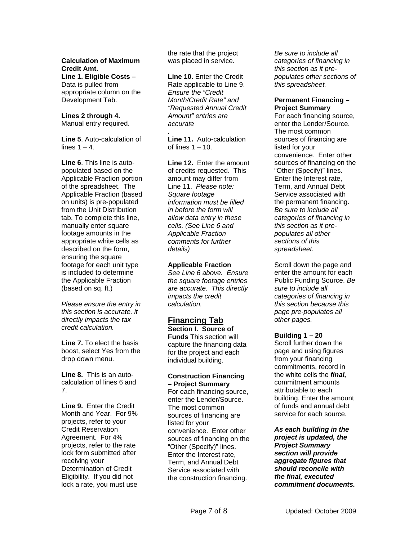### **Calculation of Maximum Credit Amt.**

**Line 1. Eligible Costs –**  Data is pulled from appropriate column on the Development Tab.

#### **Lines 2 through 4.** Manual entry required.

**Line 5**. Auto-calculation of lines  $1 - 4$ .

**Line 6**. This line is autopopulated based on the Applicable Fraction portion of the spreadsheet. The Applicable Fraction (based on units) is pre-populated from the Unit Distribution tab. To complete this line, manually enter square footage amounts in the appropriate white cells as described on the form, ensuring the square footage for each unit type is included to determine the Applicable Fraction (based on sq. ft.)

*Please ensure the entry in this section is accurate, it directly impacts the tax credit calculation.* 

**Line 7.** To elect the basis boost, select Yes from the drop down menu.

**Line 8.** This is an autocalculation of lines 6 and 7.

**Line 9.** Enter the Credit Month and Year. For 9% projects, refer to your Credit Reservation Agreement. For 4% projects, refer to the rate lock form submitted after receiving your Determination of Credit Eligibility. If you did not lock a rate, you must use

the rate that the project was placed in service.

**Line 10.** Enter the Credit Rate applicable to Line 9. *Ensure the "Credit Month/Credit Rate" and "Requested Annual Credit Amount" entries are accurate* 

*.*  **Line 11.** Auto-calculation of lines  $1 - 10$ .

**Line 12.** Enter the amount of credits requested. This amount may differ from Line 11. *Please note: Square footage information must be filled in before the form will allow data entry in these cells. (See Line 6 and Applicable Fraction comments for further details)*

#### **Applicable Fraction**

*See Line 6 above. Ensure the square footage entries are accurate. This directly impacts the credit calculation.* 

### **Financing Tab**

**Section I. Source of Funds** This section will capture the financing data for the project and each individual building.

#### **Construction Financing – Project Summary**

For each financing source, enter the Lender/Source. The most common sources of financing are listed for your convenience. Enter other sources of financing on the "Other (Specify)" lines. Enter the Interest rate, Term, and Annual Debt Service associated with the construction financing.

*Be sure to include all categories of financing in this section as it prepopulates other sections of this spreadsheet.* 

#### **Permanent Financing – Project Summary**

For each financing source, enter the Lender/Source. The most common sources of financing are listed for your convenience. Enter other sources of financing on the "Other (Specify)" lines. Enter the Interest rate, Term, and Annual Debt Service associated with the permanent financing. *Be sure to include all categories of financing in this section as it prepopulates all other sections of this spreadsheet.* 

Scroll down the page and enter the amount for each Public Funding Source. *Be sure to include all categories of financing in this section because this page pre-populates all other pages.*

### **Building 1 – 20**

Scroll further down the page and using figures from your financing commitments, record in the white cells the *final,* commitment amounts attributable to each building. Enter the amount of funds and annual debt service for each source.

*As each building in the project is updated, the Project Summary section will provide aggregate figures that should reconcile with the final, executed commitment documents.*